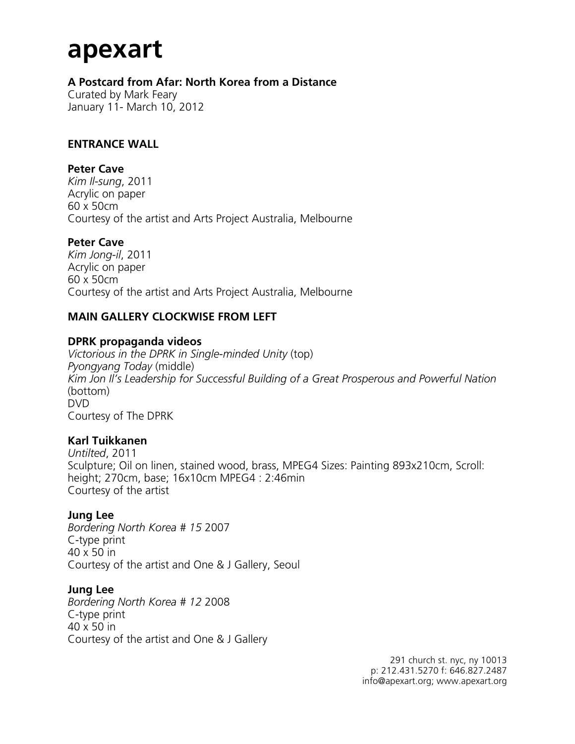# **apexart**

**A Postcard from Afar: North Korea from a Distance**

Curated by Mark Feary January 11- March 10, 2012

#### **ENTRANCE WALL**

#### **Peter Cave**

*Kim Il-sung*, 2011 Acrylic on paper 60 x 50cm Courtesy of the artist and Arts Project Australia, Melbourne

#### **Peter Cave**

*Kim Jong-il*, 2011 Acrylic on paper 60 x 50cm Courtesy of the artist and Arts Project Australia, Melbourne

#### **MAIN GALLERY CLOCKWISE FROM LEFT**

#### **DPRK propaganda videos**

*Victorious in the DPRK in Single-minded Unity* (top) *Pyongyang Today* (middle) *Kim Jon Il's Leadership for Successful Building of a Great Prosperous and Powerful Nation* (bottom) DVD Courtesy of The DPRK

#### **Karl Tuikkanen**

*Untilted*, 2011 Sculpture; Oil on linen, stained wood, brass, MPEG4 Sizes: Painting 893x210cm, Scroll: height; 270cm, base; 16x10cm MPEG4 : 2:46min Courtesy of the artist

#### **Jung Lee**

*Bordering North Korea # 15* 2007 C-type print 40 x 50 in Courtesy of the artist and One & J Gallery, Seoul

#### **Jung Lee**

*Bordering North Korea # 12* 2008 C-type print 40 x 50 in Courtesy of the artist and One & J Gallery